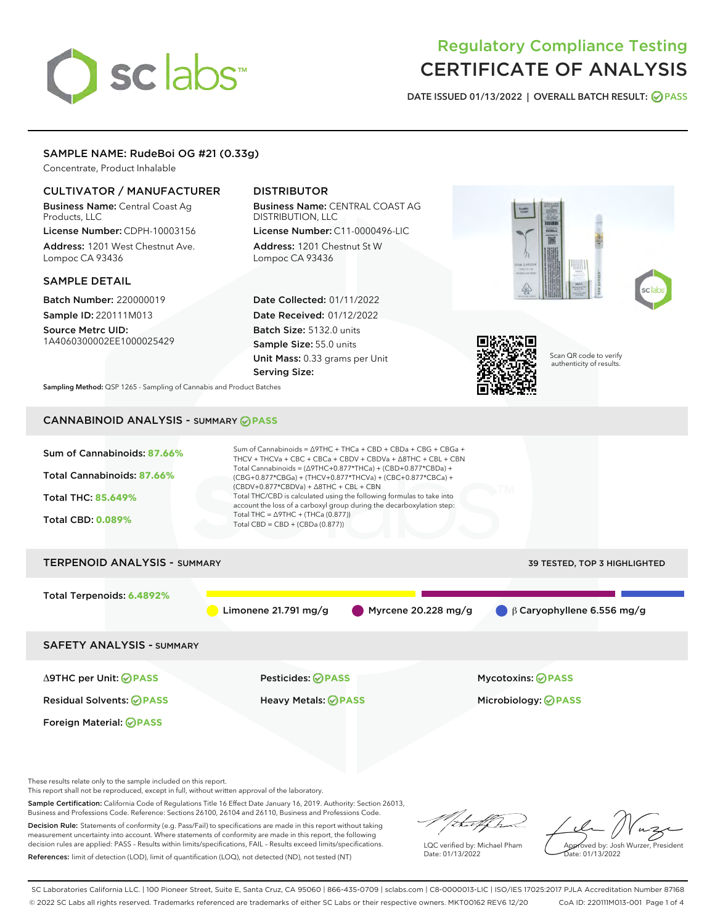# sclabs<sup>\*</sup>

# Regulatory Compliance Testing CERTIFICATE OF ANALYSIS

DATE ISSUED 01/13/2022 | OVERALL BATCH RESULT: @ PASS

# SAMPLE NAME: RudeBoi OG #21 (0.33g)

Concentrate, Product Inhalable

#### CULTIVATOR / MANUFACTURER

Business Name: Central Coast Ag Products, LLC License Number: CDPH-10003156

Address: 1201 West Chestnut Ave. Lompoc CA 93436

#### SAMPLE DETAIL

Batch Number: 220000019 Sample ID: 220111M013

Source Metrc UID: 1A4060300002EE1000025429

# DISTRIBUTOR

Business Name: CENTRAL COAST AG DISTRIBUTION, LLC License Number: C11-0000496-LIC

Address: 1201 Chestnut St W Lompoc CA 93436

Date Collected: 01/11/2022 Date Received: 01/12/2022 Batch Size: 5132.0 units Sample Size: 55.0 units Unit Mass: 0.33 grams per Unit Serving Size:





Scan QR code to verify authenticity of results.

Sampling Method: QSP 1265 - Sampling of Cannabis and Product Batches

# CANNABINOID ANALYSIS - SUMMARY **PASS**



These results relate only to the sample included on this report.

This report shall not be reproduced, except in full, without written approval of the laboratory.

Sample Certification: California Code of Regulations Title 16 Effect Date January 16, 2019. Authority: Section 26013, Business and Professions Code. Reference: Sections 26100, 26104 and 26110, Business and Professions Code.

Decision Rule: Statements of conformity (e.g. Pass/Fail) to specifications are made in this report without taking measurement uncertainty into account. Where statements of conformity are made in this report, the following decision rules are applied: PASS – Results within limits/specifications, FAIL – Results exceed limits/specifications. References: limit of detection (LOD), limit of quantification (LOQ), not detected (ND), not tested (NT)

that fCh

LQC verified by: Michael Pham Date: 01/13/2022

Approved by: Josh Wurzer, President ate: 01/13/2022

SC Laboratories California LLC. | 100 Pioneer Street, Suite E, Santa Cruz, CA 95060 | 866-435-0709 | sclabs.com | C8-0000013-LIC | ISO/IES 17025:2017 PJLA Accreditation Number 87168 © 2022 SC Labs all rights reserved. Trademarks referenced are trademarks of either SC Labs or their respective owners. MKT00162 REV6 12/20 CoA ID: 220111M013-001 Page 1 of 4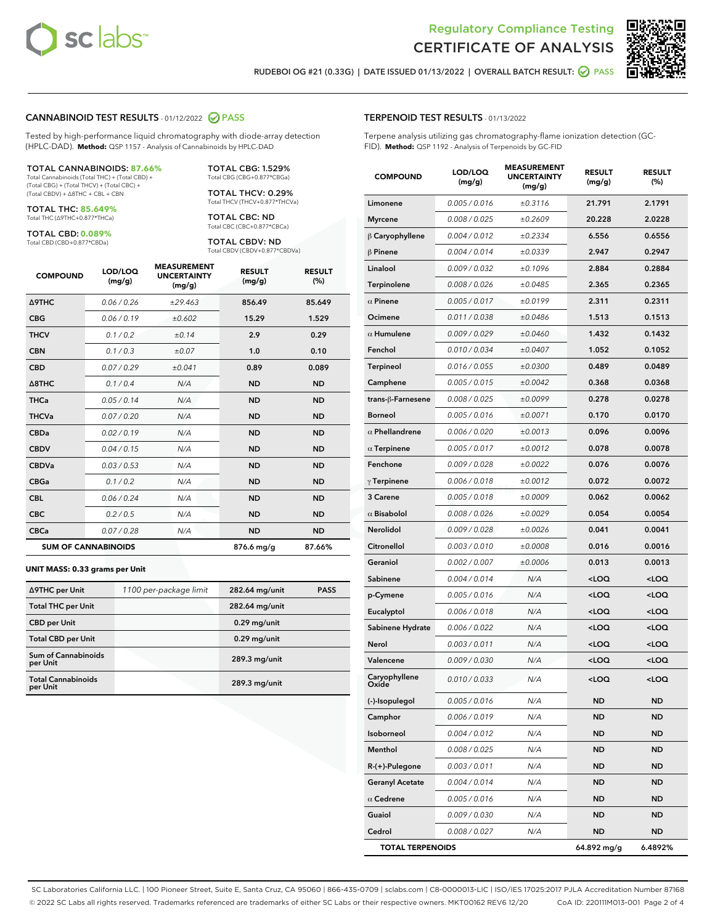



RUDEBOI OG #21 (0.33G) | DATE ISSUED 01/13/2022 | OVERALL BATCH RESULT: @ PASS

#### CANNABINOID TEST RESULTS - 01/12/2022 2 PASS

Tested by high-performance liquid chromatography with diode-array detection (HPLC-DAD). **Method:** QSP 1157 - Analysis of Cannabinoids by HPLC-DAD

#### TOTAL CANNABINOIDS: **87.66%**

Total Cannabinoids (Total THC) + (Total CBD) + (Total CBG) + (Total THCV) + (Total CBC) + (Total CBDV) + ∆8THC + CBL + CBN

TOTAL THC: **85.649%** Total THC (∆9THC+0.877\*THCa)

TOTAL CBD: **0.089%**

Total CBD (CBD+0.877\*CBDa)

TOTAL CBG: 1.529% Total CBG (CBG+0.877\*CBGa)

TOTAL THCV: 0.29% Total THCV (THCV+0.877\*THCVa)

TOTAL CBC: ND Total CBC (CBC+0.877\*CBCa)

TOTAL CBDV: ND Total CBDV (CBDV+0.877\*CBDVa)

| <b>COMPOUND</b>  | LOD/LOQ<br>(mg/g)          | <b>MEASUREMENT</b><br><b>UNCERTAINTY</b><br>(mg/g) | <b>RESULT</b><br>(mg/g) | <b>RESULT</b><br>(%) |
|------------------|----------------------------|----------------------------------------------------|-------------------------|----------------------|
| <b>A9THC</b>     | 0.06/0.26                  | ±29.463                                            | 856.49                  | 85.649               |
| <b>CBG</b>       | 0.06/0.19                  | ±0.602                                             | 15.29                   | 1.529                |
| <b>THCV</b>      | 0.1/0.2                    | ±0.14                                              | 2.9                     | 0.29                 |
| <b>CBN</b>       | 0.1/0.3                    | ±0.07                                              | 1.0                     | 0.10                 |
| <b>CBD</b>       | 0.07/0.29                  | ±0.041                                             | 0.89                    | 0.089                |
| $\triangle$ 8THC | 0.1 / 0.4                  | N/A                                                | <b>ND</b>               | <b>ND</b>            |
| <b>THCa</b>      | 0.05/0.14                  | N/A                                                | <b>ND</b>               | <b>ND</b>            |
| <b>THCVa</b>     | 0.07/0.20                  | N/A                                                | <b>ND</b>               | <b>ND</b>            |
| <b>CBDa</b>      | 0.02/0.19                  | N/A                                                | <b>ND</b>               | <b>ND</b>            |
| <b>CBDV</b>      | 0.04/0.15                  | N/A                                                | <b>ND</b>               | <b>ND</b>            |
| <b>CBDVa</b>     | 0.03/0.53                  | N/A                                                | <b>ND</b>               | <b>ND</b>            |
| <b>CBGa</b>      | 0.1 / 0.2                  | N/A                                                | <b>ND</b>               | <b>ND</b>            |
| <b>CBL</b>       | 0.06 / 0.24                | N/A                                                | <b>ND</b>               | <b>ND</b>            |
| <b>CBC</b>       | 0.2 / 0.5                  | N/A                                                | <b>ND</b>               | <b>ND</b>            |
| <b>CBCa</b>      | 0.07/0.28                  | N/A                                                | <b>ND</b>               | <b>ND</b>            |
|                  | <b>SUM OF CANNABINOIDS</b> |                                                    | 876.6 mg/g              | 87.66%               |

#### **UNIT MASS: 0.33 grams per Unit**

| ∆9THC per Unit                        | 1100 per-package limit | 282.64 mg/unit | <b>PASS</b> |
|---------------------------------------|------------------------|----------------|-------------|
| <b>Total THC per Unit</b>             |                        | 282.64 mg/unit |             |
| <b>CBD</b> per Unit                   |                        | $0.29$ mg/unit |             |
| <b>Total CBD per Unit</b>             |                        | $0.29$ mg/unit |             |
| Sum of Cannabinoids<br>per Unit       |                        | 289.3 mg/unit  |             |
| <b>Total Cannabinoids</b><br>per Unit |                        | 289.3 mg/unit  |             |

| <b>COMPOUND</b>         | LOD/LOQ<br>(mg/g) | <b>MEASUREMENT</b><br><b>UNCERTAINTY</b><br>(mg/g) | <b>RESULT</b><br>(mg/g)                         | <b>RESULT</b><br>(%) |
|-------------------------|-------------------|----------------------------------------------------|-------------------------------------------------|----------------------|
| Limonene                | 0.005 / 0.016     | ±0.3116                                            | 21.791                                          | 2.1791               |
| <b>Myrcene</b>          | 0.008 / 0.025     | ±0.2609                                            | 20.228                                          | 2.0228               |
| $\upbeta$ Caryophyllene | 0.004 / 0.012     | ±0.2334                                            | 6.556                                           | 0.6556               |
| $\beta$ Pinene          | 0.004 / 0.014     | ±0.0339                                            | 2.947                                           | 0.2947               |
| Linalool                | 0.009 / 0.032     | ±0.1096                                            | 2.884                                           | 0.2884               |
| Terpinolene             | 0.008 / 0.026     | ±0.0485                                            | 2.365                                           | 0.2365               |
| $\alpha$ Pinene         | 0.005 / 0.017     | ±0.0199                                            | 2.311                                           | 0.2311               |
| Ocimene                 | 0.011 / 0.038     | ±0.0486                                            | 1.513                                           | 0.1513               |
| $\alpha$ Humulene       | 0.009 / 0.029     | ±0.0460                                            | 1.432                                           | 0.1432               |
| Fenchol                 | 0.010 / 0.034     | ±0.0407                                            | 1.052                                           | 0.1052               |
| Terpineol               | 0.016 / 0.055     | ±0.0300                                            | 0.489                                           | 0.0489               |
| Camphene                | 0.005 / 0.015     | ±0.0042                                            | 0.368                                           | 0.0368               |
| trans-ß-Farnesene       | 0.008 / 0.025     | ±0.0099                                            | 0.278                                           | 0.0278               |
| <b>Borneol</b>          | 0.005 / 0.016     | ±0.0071                                            | 0.170                                           | 0.0170               |
| $\alpha$ Phellandrene   | 0.006 / 0.020     | ±0.0013                                            | 0.096                                           | 0.0096               |
| $\alpha$ Terpinene      | 0.005 / 0.017     | ±0.0012                                            | 0.078                                           | 0.0078               |
| Fenchone                | 0.009 / 0.028     | ±0.0022                                            | 0.076                                           | 0.0076               |
| $\gamma$ Terpinene      | 0.006 / 0.018     | ±0.0012                                            | 0.072                                           | 0.0072               |
| 3 Carene                | 0.005 / 0.018     | ±0.0009                                            | 0.062                                           | 0.0062               |
| $\alpha$ Bisabolol      | 0.008 / 0.026     | ±0.0029                                            | 0.054                                           | 0.0054               |
| Nerolidol               | 0.009 / 0.028     | ±0.0026                                            | 0.041                                           | 0.0041               |
| Citronellol             | 0.003 / 0.010     | ±0.0008                                            | 0.016                                           | 0.0016               |
| Geraniol                | 0.002 / 0.007     | ±0.0006                                            | 0.013                                           | 0.0013               |
| Sabinene                | 0.004 / 0.014     | N/A                                                | <loq< th=""><th><loq< th=""></loq<></th></loq<> | <loq< th=""></loq<>  |
| p-Cymene                | 0.005 / 0.016     | N/A                                                | <loq< th=""><th><loq< th=""></loq<></th></loq<> | <loq< th=""></loq<>  |
| Eucalyptol              | 0.006 / 0.018     | N/A                                                | <loq< th=""><th><loq< th=""></loq<></th></loq<> | <loq< th=""></loq<>  |
| Sabinene Hydrate        | 0.006 / 0.022     | N/A                                                | <loq< th=""><th><loq< th=""></loq<></th></loq<> | <loq< th=""></loq<>  |
| Nerol                   | 0.003 / 0.011     | N/A                                                | 100                                             | $<$ LOQ              |
| Valencene               | 0.009 / 0.030     | N/A                                                | <loq< th=""><th><loq< th=""></loq<></th></loq<> | <loq< th=""></loq<>  |
| Caryophyllene<br>Oxide  | 0.010 / 0.033     | N/A                                                | <loq< th=""><th><loq< th=""></loq<></th></loq<> | <loq< th=""></loq<>  |
| (-)-Isopulegol          | 0.005 / 0.016     | N/A                                                | ND                                              | ND                   |
| Camphor                 | 0.006 / 0.019     | N/A                                                | ND                                              | ND                   |
| Isoborneol              | 0.004 / 0.012     | N/A                                                | ND                                              | ND                   |
| Menthol                 | 0.008 / 0.025     | N/A                                                | <b>ND</b>                                       | ND                   |
| R-(+)-Pulegone          | 0.003 / 0.011     | N/A                                                | ND                                              | ND                   |
| <b>Geranyl Acetate</b>  | 0.004 / 0.014     | N/A                                                | ND                                              | ND                   |
| $\alpha$ Cedrene        | 0.005 / 0.016     | N/A                                                | ND                                              | ND                   |
| Guaiol                  | 0.009 / 0.030     | N/A                                                | ND                                              | ND                   |
| Cedrol                  | 0.008 / 0.027     | N/A                                                | ND                                              | ND                   |
| <b>TOTAL TERPENOIDS</b> |                   |                                                    | 64.892 mg/g                                     | 6.4892%              |

SC Laboratories California LLC. | 100 Pioneer Street, Suite E, Santa Cruz, CA 95060 | 866-435-0709 | sclabs.com | C8-0000013-LIC | ISO/IES 17025:2017 PJLA Accreditation Number 87168 © 2022 SC Labs all rights reserved. Trademarks referenced are trademarks of either SC Labs or their respective owners. MKT00162 REV6 12/20 CoA ID: 220111M013-001 Page 2 of 4

# TERPENOID TEST RESULTS - 01/13/2022

Terpene analysis utilizing gas chromatography-flame ionization detection (GC-FID). **Method:** QSP 1192 - Analysis of Terpenoids by GC-FID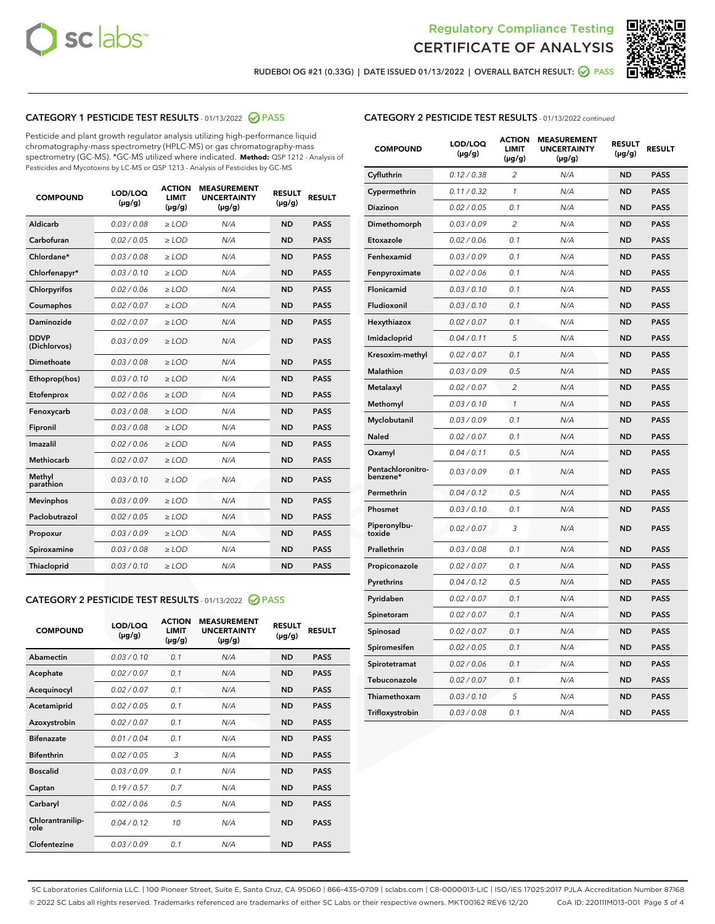



RUDEBOI OG #21 (0.33G) | DATE ISSUED 01/13/2022 | OVERALL BATCH RESULT: @ PASS

# CATEGORY 1 PESTICIDE TEST RESULTS - 01/13/2022 2 PASS

Pesticide and plant growth regulator analysis utilizing high-performance liquid chromatography-mass spectrometry (HPLC-MS) or gas chromatography-mass spectrometry (GC-MS). \*GC-MS utilized where indicated. **Method:** QSP 1212 - Analysis of Pesticides and Mycotoxins by LC-MS or QSP 1213 - Analysis of Pesticides by GC-MS

| <b>COMPOUND</b>             | LOD/LOQ<br>$(\mu g/g)$ | <b>ACTION</b><br><b>LIMIT</b><br>$(\mu g/g)$ | <b>MEASUREMENT</b><br><b>UNCERTAINTY</b><br>$(\mu g/g)$ | <b>RESULT</b><br>$(\mu g/g)$ | <b>RESULT</b> |
|-----------------------------|------------------------|----------------------------------------------|---------------------------------------------------------|------------------------------|---------------|
| Aldicarb                    | 0.03/0.08              | $>$ LOD                                      | N/A                                                     | <b>ND</b>                    | <b>PASS</b>   |
| Carbofuran                  | 0.02 / 0.05            | $\ge$ LOD                                    | N/A                                                     | <b>ND</b>                    | <b>PASS</b>   |
| Chlordane*                  | 0.03 / 0.08            | $\ge$ LOD                                    | N/A                                                     | <b>ND</b>                    | <b>PASS</b>   |
| Chlorfenapyr*               | 0.03/0.10              | $\ge$ LOD                                    | N/A                                                     | <b>ND</b>                    | <b>PASS</b>   |
| Chlorpyrifos                | 0.02 / 0.06            | $\ge$ LOD                                    | N/A                                                     | <b>ND</b>                    | <b>PASS</b>   |
| Coumaphos                   | 0.02 / 0.07            | $\ge$ LOD                                    | N/A                                                     | <b>ND</b>                    | <b>PASS</b>   |
| Daminozide                  | 0.02/0.07              | $>$ LOD                                      | N/A                                                     | <b>ND</b>                    | <b>PASS</b>   |
| <b>DDVP</b><br>(Dichlorvos) | 0.03/0.09              | $\ge$ LOD                                    | N/A                                                     | <b>ND</b>                    | <b>PASS</b>   |
| <b>Dimethoate</b>           | 0.03/0.08              | $\ge$ LOD                                    | N/A                                                     | <b>ND</b>                    | <b>PASS</b>   |
| Ethoprop(hos)               | 0.03/0.10              | $\ge$ LOD                                    | N/A                                                     | <b>ND</b>                    | <b>PASS</b>   |
| Etofenprox                  | 0.02 / 0.06            | $\ge$ LOD                                    | N/A                                                     | <b>ND</b>                    | <b>PASS</b>   |
| Fenoxycarb                  | 0.03/0.08              | $\ge$ LOD                                    | N/A                                                     | <b>ND</b>                    | <b>PASS</b>   |
| Fipronil                    | 0.03/0.08              | $\ge$ LOD                                    | N/A                                                     | <b>ND</b>                    | <b>PASS</b>   |
| Imazalil                    | 0.02 / 0.06            | $>$ LOD                                      | N/A                                                     | <b>ND</b>                    | <b>PASS</b>   |
| Methiocarb                  | 0.02 / 0.07            | $>$ LOD                                      | N/A                                                     | <b>ND</b>                    | <b>PASS</b>   |
| Methyl<br>parathion         | 0.03/0.10              | $>$ LOD                                      | N/A                                                     | <b>ND</b>                    | <b>PASS</b>   |
| <b>Mevinphos</b>            | 0.03/0.09              | $\ge$ LOD                                    | N/A                                                     | <b>ND</b>                    | <b>PASS</b>   |
| Paclobutrazol               | 0.02 / 0.05            | $>$ LOD                                      | N/A                                                     | <b>ND</b>                    | <b>PASS</b>   |
| Propoxur                    | 0.03/0.09              | $\ge$ LOD                                    | N/A                                                     | <b>ND</b>                    | <b>PASS</b>   |
| Spiroxamine                 | 0.03 / 0.08            | $\ge$ LOD                                    | N/A                                                     | <b>ND</b>                    | <b>PASS</b>   |
| Thiacloprid                 | 0.03/0.10              | $\ge$ LOD                                    | N/A                                                     | <b>ND</b>                    | <b>PASS</b>   |

#### CATEGORY 2 PESTICIDE TEST RESULTS - 01/13/2022 2 PASS

| <b>COMPOUND</b>          | LOD/LOQ<br>$(\mu g/g)$ | <b>ACTION</b><br><b>LIMIT</b><br>$(\mu g/g)$ | <b>MEASUREMENT</b><br><b>UNCERTAINTY</b><br>$(\mu g/g)$ | <b>RESULT</b><br>$(\mu g/g)$ | <b>RESULT</b> |
|--------------------------|------------------------|----------------------------------------------|---------------------------------------------------------|------------------------------|---------------|
| Abamectin                | 0.03/0.10              | 0.1                                          | N/A                                                     | <b>ND</b>                    | <b>PASS</b>   |
| Acephate                 | 0.02/0.07              | 0.1                                          | N/A                                                     | <b>ND</b>                    | <b>PASS</b>   |
| Acequinocyl              | 0.02/0.07              | 0.1                                          | N/A                                                     | <b>ND</b>                    | <b>PASS</b>   |
| Acetamiprid              | 0.02/0.05              | 0.1                                          | N/A                                                     | <b>ND</b>                    | <b>PASS</b>   |
| Azoxystrobin             | 0.02/0.07              | 0.1                                          | N/A                                                     | <b>ND</b>                    | <b>PASS</b>   |
| <b>Bifenazate</b>        | 0.01/0.04              | 0.1                                          | N/A                                                     | <b>ND</b>                    | <b>PASS</b>   |
| <b>Bifenthrin</b>        | 0.02 / 0.05            | 3                                            | N/A                                                     | <b>ND</b>                    | <b>PASS</b>   |
| <b>Boscalid</b>          | 0.03/0.09              | 0.1                                          | N/A                                                     | <b>ND</b>                    | <b>PASS</b>   |
| Captan                   | 0.19/0.57              | 0.7                                          | N/A                                                     | <b>ND</b>                    | <b>PASS</b>   |
| Carbaryl                 | 0.02/0.06              | 0.5                                          | N/A                                                     | <b>ND</b>                    | <b>PASS</b>   |
| Chlorantranilip-<br>role | 0.04/0.12              | 10                                           | N/A                                                     | <b>ND</b>                    | <b>PASS</b>   |
| Clofentezine             | 0.03/0.09              | 0.1                                          | N/A                                                     | <b>ND</b>                    | <b>PASS</b>   |

## CATEGORY 2 PESTICIDE TEST RESULTS - 01/13/2022 continued

| <b>COMPOUND</b>               | LOD/LOQ<br>(µg/g) | <b>ACTION</b><br><b>LIMIT</b><br>$(\mu g/g)$ | <b>MEASUREMENT</b><br><b>UNCERTAINTY</b><br>$(\mu g/g)$ | <b>RESULT</b><br>(µg/g) | <b>RESULT</b> |
|-------------------------------|-------------------|----------------------------------------------|---------------------------------------------------------|-------------------------|---------------|
| Cyfluthrin                    | 0.12 / 0.38       | $\overline{c}$                               | N/A                                                     | <b>ND</b>               | <b>PASS</b>   |
| Cypermethrin                  | 0.11 / 0.32       | 1                                            | N/A                                                     | ND                      | <b>PASS</b>   |
| Diazinon                      | 0.02 / 0.05       | 0.1                                          | N/A                                                     | ND                      | <b>PASS</b>   |
| Dimethomorph                  | 0.03 / 0.09       | 2                                            | N/A                                                     | ND                      | <b>PASS</b>   |
| Etoxazole                     | 0.02 / 0.06       | 0.1                                          | N/A                                                     | <b>ND</b>               | <b>PASS</b>   |
| Fenhexamid                    | 0.03 / 0.09       | 0.1                                          | N/A                                                     | <b>ND</b>               | <b>PASS</b>   |
| Fenpyroximate                 | 0.02 / 0.06       | 0.1                                          | N/A                                                     | ND                      | <b>PASS</b>   |
| Flonicamid                    | 0.03 / 0.10       | 0.1                                          | N/A                                                     | ND                      | <b>PASS</b>   |
| Fludioxonil                   | 0.03 / 0.10       | 0.1                                          | N/A                                                     | <b>ND</b>               | <b>PASS</b>   |
| Hexythiazox                   | 0.02 / 0.07       | 0.1                                          | N/A                                                     | ND                      | <b>PASS</b>   |
| Imidacloprid                  | 0.04 / 0.11       | 5                                            | N/A                                                     | ND                      | <b>PASS</b>   |
| Kresoxim-methyl               | 0.02 / 0.07       | 0.1                                          | N/A                                                     | <b>ND</b>               | <b>PASS</b>   |
| <b>Malathion</b>              | 0.03 / 0.09       | 0.5                                          | N/A                                                     | ND                      | <b>PASS</b>   |
| Metalaxyl                     | 0.02 / 0.07       | $\overline{c}$                               | N/A                                                     | ND                      | <b>PASS</b>   |
| Methomyl                      | 0.03 / 0.10       | 1                                            | N/A                                                     | <b>ND</b>               | <b>PASS</b>   |
| Myclobutanil                  | 0.03 / 0.09       | 0.1                                          | N/A                                                     | ND                      | <b>PASS</b>   |
| Naled                         | 0.02 / 0.07       | 0.1                                          | N/A                                                     | ND                      | <b>PASS</b>   |
| Oxamyl                        | 0.04 / 0.11       | 0.5                                          | N/A                                                     | ND                      | <b>PASS</b>   |
| Pentachloronitro-<br>benzene* | 0.03 / 0.09       | 0.1                                          | N/A                                                     | ND                      | <b>PASS</b>   |
| Permethrin                    | 0.04 / 0.12       | 0.5                                          | N/A                                                     | <b>ND</b>               | <b>PASS</b>   |
| Phosmet                       | 0.03 / 0.10       | 0.1                                          | N/A                                                     | <b>ND</b>               | <b>PASS</b>   |
| Piperonylbu-<br>toxide        | 0.02 / 0.07       | 3                                            | N/A                                                     | ND                      | <b>PASS</b>   |
| Prallethrin                   | 0.03 / 0.08       | 0.1                                          | N/A                                                     | <b>ND</b>               | <b>PASS</b>   |
| Propiconazole                 | 0.02 / 0.07       | 0.1                                          | N/A                                                     | ND                      | <b>PASS</b>   |
| Pyrethrins                    | 0.04 / 0.12       | 0.5                                          | N/A                                                     | ND                      | <b>PASS</b>   |
| Pyridaben                     | 0.02 / 0.07       | 0.1                                          | N/A                                                     | ND                      | <b>PASS</b>   |
| Spinetoram                    | 0.02 / 0.07       | 0.1                                          | N/A                                                     | ND                      | <b>PASS</b>   |
| Spinosad                      | 0.02 / 0.07       | 0.1                                          | N/A                                                     | ND                      | <b>PASS</b>   |
| Spiromesifen                  | 0.02 / 0.05       | 0.1                                          | N/A                                                     | <b>ND</b>               | <b>PASS</b>   |
| Spirotetramat                 | 0.02 / 0.06       | 0.1                                          | N/A                                                     | ND                      | <b>PASS</b>   |
| Tebuconazole                  | 0.02 / 0.07       | 0.1                                          | N/A                                                     | ND                      | <b>PASS</b>   |
| Thiamethoxam                  | 0.03 / 0.10       | 5                                            | N/A                                                     | <b>ND</b>               | <b>PASS</b>   |
| Trifloxystrobin               | 0.03 / 0.08       | 0.1                                          | N/A                                                     | <b>ND</b>               | <b>PASS</b>   |

SC Laboratories California LLC. | 100 Pioneer Street, Suite E, Santa Cruz, CA 95060 | 866-435-0709 | sclabs.com | C8-0000013-LIC | ISO/IES 17025:2017 PJLA Accreditation Number 87168 © 2022 SC Labs all rights reserved. Trademarks referenced are trademarks of either SC Labs or their respective owners. MKT00162 REV6 12/20 CoA ID: 220111M013-001 Page 3 of 4